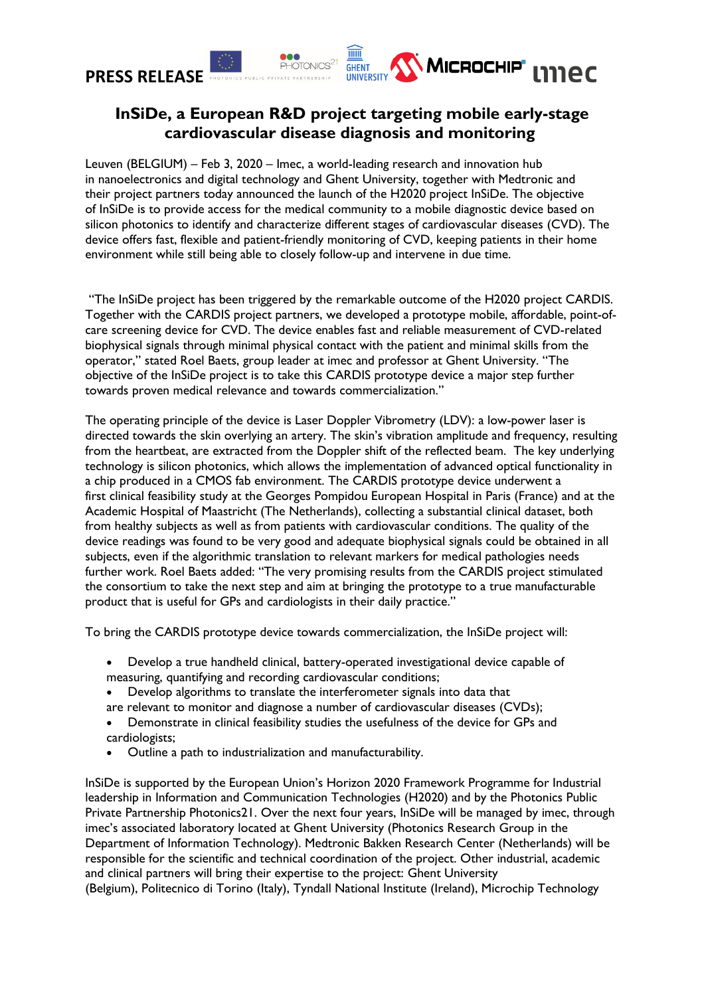# **PRESS RELEASE**



## **InSiDe, a European R&D project targeting mobile early-stage cardiovascular disease diagnosis and monitoring**

Leuven (BELGIUM) – Feb 3, 2020 – Imec, a world-leading research and innovation hub in nanoelectronics and digital technology and Ghent University, together with Medtronic and their project partners today announced the launch of the H2020 project InSiDe. The objective of InSiDe is to provide access for the medical community to a mobile diagnostic device based on silicon photonics to identify and characterize different stages of cardiovascular diseases (CVD). The device offers fast, flexible and patient-friendly monitoring of CVD, keeping patients in their home environment while still being able to closely follow-up and intervene in due time.

"The InSiDe project has been triggered by the remarkable outcome of the H2020 project CARDIS. Together with the CARDIS project partners, we developed a prototype mobile, affordable, point-ofcare screening device for CVD. The device enables fast and reliable measurement of CVD-related biophysical signals through minimal physical contact with the patient and minimal skills from the operator," stated Roel Baets, group leader at imec and professor at Ghent University. "The objective of the InSiDe project is to take this CARDIS prototype device a major step further towards proven medical relevance and towards commercialization."

The operating principle of the device is Laser Doppler Vibrometry (LDV): a low-power laser is directed towards the skin overlying an artery. The skin's vibration amplitude and frequency, resulting from the heartbeat, are extracted from the Doppler shift of the reflected beam. The key underlying technology is silicon photonics, which allows the implementation of advanced optical functionality in a chip produced in a CMOS fab environment. The CARDIS prototype device underwent a first clinical feasibility study at the Georges Pompidou European Hospital in Paris (France) and at the Academic Hospital of Maastricht (The Netherlands), collecting a substantial clinical dataset, both from healthy subjects as well as from patients with cardiovascular conditions. The quality of the device readings was found to be very good and adequate biophysical signals could be obtained in all subjects, even if the algorithmic translation to relevant markers for medical pathologies needs further work. Roel Baets added: "The very promising results from the CARDIS project stimulated the consortium to take the next step and aim at bringing the prototype to a true manufacturable product that is useful for GPs and cardiologists in their daily practice."

To bring the CARDIS prototype device towards commercialization, the InSiDe project will:

- Develop a true handheld clinical, battery-operated investigational device capable of measuring, quantifying and recording cardiovascular conditions;
- Develop algorithms to translate the interferometer signals into data that
- are relevant to monitor and diagnose a number of cardiovascular diseases (CVDs);
- Demonstrate in clinical feasibility studies the usefulness of the device for GPs and cardiologists;
- Outline a path to industrialization and manufacturability.

InSiDe is supported by the European Union's Horizon 2020 Framework Programme for Industrial leadership in Information and Communication Technologies (H2020) and by the Photonics Public Private Partnership Photonics21. Over the next four years, InSiDe will be managed by imec, through imec's associated laboratory located at Ghent University (Photonics Research Group in the Department of Information Technology). Medtronic Bakken Research Center (Netherlands) will be responsible for the scientific and technical coordination of the project. Other industrial, academic and clinical partners will bring their expertise to the project: Ghent University (Belgium), Politecnico di Torino (Italy), Tyndall National Institute (Ireland), Microchip Technology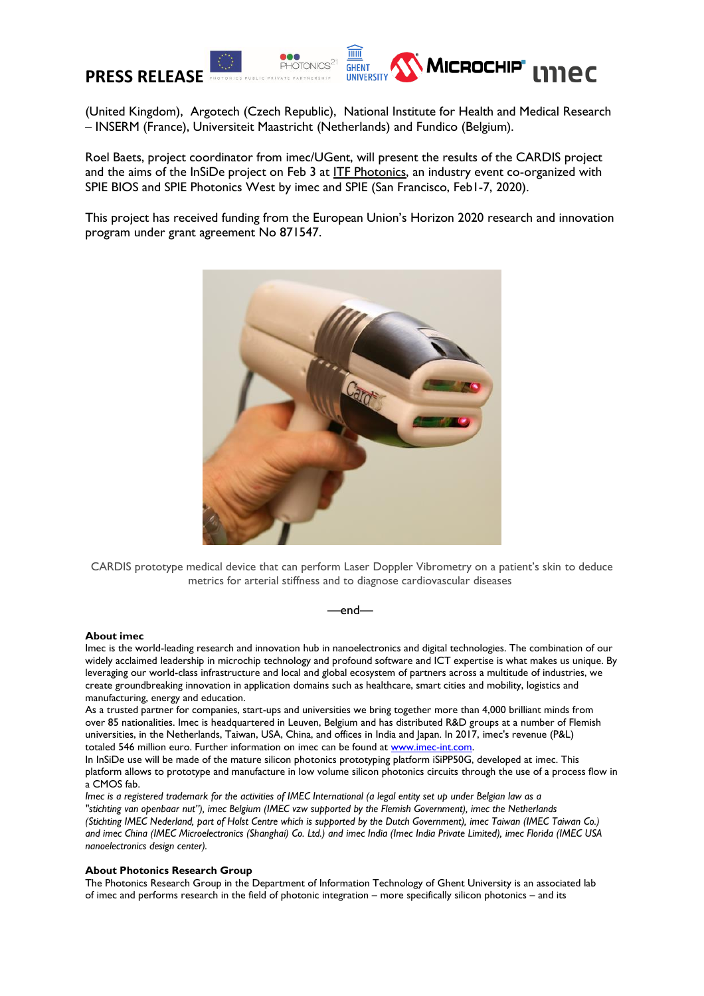

(United Kingdom), Argotech (Czech Republic), National Institute for Health and Medical Research – INSERM (France), Universiteit Maastricht (Netherlands) and Fundico (Belgium).

Roel Baets, project coordinator from imec/UGent, will present the results of the CARDIS project and the aims of the InSiDe project on Feb 3 at [ITF Photonics,](https://2019.futuresummits.com/itf-2020/itf-photonics) an industry event co-organized with SPIE BIOS and SPIE Photonics West by imec and SPIE (San Francisco, Feb1-7, 2020).

This project has received funding from the European Union's Horizon 2020 research and innovation program under grant agreement No 871547.



CARDIS prototype medical device that can perform Laser Doppler Vibrometry on a patient's skin to deduce metrics for arterial stiffness and to diagnose cardiovascular diseases

## —end—

## **About imec**

Imec is the world-leading research and innovation hub in nanoelectronics and digital technologies. The combination of our widely acclaimed leadership in microchip technology and profound software and ICT expertise is what makes us unique. By leveraging our world-class infrastructure and local and global ecosystem of partners across a multitude of industries, we create groundbreaking innovation in application domains such as healthcare, smart cities and mobility, logistics and manufacturing, energy and education.

As a trusted partner for companies, start-ups and universities we bring together more than 4,000 brilliant minds from over 85 nationalities. Imec is headquartered in Leuven, Belgium and has distributed R&D groups at a number of Flemish universities, in the Netherlands, Taiwan, USA, China, and offices in India and Japan. In 2017, imec's revenue (P&L) totaled 546 million euro. Further information on imec can be found at [www.imec-int.com.](http://www.imec-int.com/)

In InSiDe use will be made of the mature silicon photonics prototyping platform iSiPP50G, developed at imec. This platform allows to prototype and manufacture in low volume silicon photonics circuits through the use of a process flow in a CMOS fab.

*Imec is a registered trademark for the activities of IMEC International (a legal entity set up under Belgian law as a "stichting van openbaar nut"), imec Belgium (IMEC vzw supported by the Flemish Government), imec the Netherlands (Stichting IMEC Nederland, part of Holst Centre which is supported by the Dutch Government), imec Taiwan (IMEC Taiwan Co.) and imec China (IMEC Microelectronics (Shanghai) Co. Ltd.) and imec India (Imec India Private Limited), imec Florida (IMEC USA nanoelectronics design center).*

## **About Photonics Research Group**

The Photonics Research Group in the Department of Information Technology of Ghent University is an associated lab of imec and performs research in the field of photonic integration – more specifically silicon photonics – and its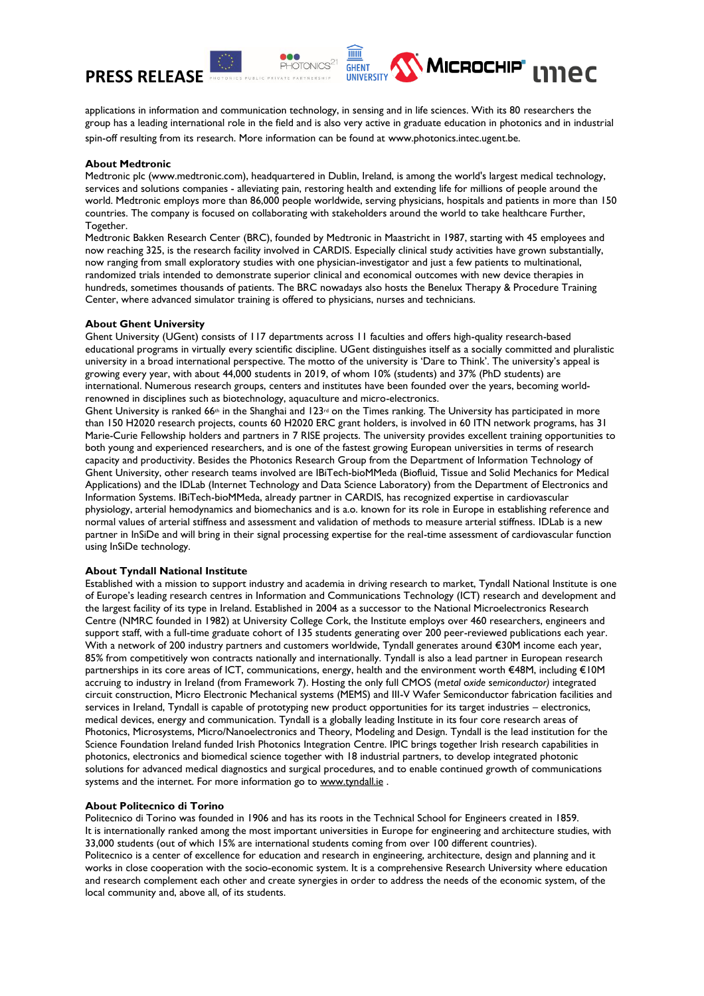

applications in information and communication technology, in sensing and in life sciences. With its 80 researchers the group has a leading international role in the field and is also very active in graduate education in photonics and in industrial

**GHENT IINIVERSITY**  MICROCHIP' LINEC

spin-off resulting from its research. More information can be found at www.photonics.intec.ugent.be.

## **About Medtronic**

Medtronic plc (www.medtronic.com), headquartered in Dublin, Ireland, is among the world's largest medical technology, services and solutions companies - alleviating pain, restoring health and extending life for millions of people around the world. Medtronic employs more than 86,000 people worldwide, serving physicians, hospitals and patients in more than 150 countries. The company is focused on collaborating with stakeholders around the world to take healthcare Further, Together.

Medtronic Bakken Research Center (BRC), founded by Medtronic in Maastricht in 1987, starting with 45 employees and now reaching 325, is the research facility involved in CARDIS. Especially clinical study activities have grown substantially, now ranging from small exploratory studies with one physician-investigator and just a few patients to multinational, randomized trials intended to demonstrate superior clinical and economical outcomes with new device therapies in hundreds, sometimes thousands of patients. The BRC nowadays also hosts the Benelux Therapy & Procedure Training Center, where advanced simulator training is offered to physicians, nurses and technicians.

#### **About Ghent University**

Ghent University (UGent) consists of 117 departments across 11 faculties and offers high-quality research-based educational programs in virtually every scientific discipline. UGent distinguishes itself as a socially committed and pluralistic university in a broad international perspective. The motto of the university is 'Dare to Think'. The university's appeal is growing every year, with about 44,000 students in 2019, of whom 10% (students) and 37% (PhD students) are international. Numerous research groups, centers and institutes have been founded over the years, becoming worldrenowned in disciplines such as biotechnology, aquaculture and micro-electronics.

Ghent University is ranked 66<sup>th</sup> in the Shanghai and 123<sup>rd</sup> on the Times ranking. The University has participated in more than 150 H2020 research projects, counts 60 H2020 ERC grant holders, is involved in 60 ITN network programs, has 31 Marie-Curie Fellowship holders and partners in 7 RISE projects. The university provides excellent training opportunities to both young and experienced researchers, and is one of the fastest growing European universities in terms of research capacity and productivity. Besides the Photonics Research Group from the Department of Information Technology of Ghent University, other research teams involved are IBiTech-bioMMeda (Biofluid, Tissue and Solid Mechanics for Medical Applications) and the IDLab (Internet Technology and Data Science Laboratory) from the Department of Electronics and Information Systems. IBiTech-bioMMeda, already partner in CARDIS, has recognized expertise in cardiovascular physiology, arterial hemodynamics and biomechanics and is a.o. known for its role in Europe in establishing reference and normal values of arterial stiffness and assessment and validation of methods to measure arterial stiffness. IDLab is a new partner in InSiDe and will bring in their signal processing expertise for the real-time assessment of cardiovascular function using InSiDe technology.

## **About Tyndall National Institute**

Established with a mission to support industry and academia in driving research to market, Tyndall National Institute is one of Europe's leading research centres in Information and Communications Technology (ICT) research and development and the largest facility of its type in Ireland. Established in 2004 as a successor to the National Microelectronics Research Centre (NMRC founded in 1982) at University College Cork, the Institute employs over 460 researchers, engineers and support staff, with a full-time graduate cohort of 135 students generating over 200 peer-reviewed publications each year. With a network of 200 industry partners and customers worldwide, Tyndall generates around €30M income each year, 85% from competitively won contracts nationally and internationally. Tyndall is also a lead partner in European research partnerships in its core areas of ICT, communications, energy, health and the environment worth €48M, including €10M accruing to industry in Ireland (from Framework 7). Hosting the only full CMOS (m*etal* o*xide* s*emiconductor)* integrated circuit construction, Micro Electronic Mechanical systems (MEMS) and III-V Wafer Semiconductor fabrication facilities and services in Ireland, Tyndall is capable of prototyping new product opportunities for its target industries – electronics, medical devices, energy and communication. Tyndall is a globally leading Institute in its four core research areas of Photonics, Microsystems, Micro/Nanoelectronics and Theory, Modeling and Design. Tyndall is the lead institution for the Science Foundation Ireland funded Irish Photonics Integration Centre. IPIC brings together Irish research capabilities in photonics, electronics and biomedical science together with 18 industrial partners, to develop integrated photonic solutions for advanced medical diagnostics and surgical procedures, and to enable continued growth of communications systems and the internet. For more information go to [www.tyndall.ie](http://www.tyndall.ie/).

#### **About Politecnico di Torino**

Politecnico di Torino was founded in 1906 and has its roots in the Technical School for Engineers created in 1859. It is internationally ranked among the most important universities in Europe for engineering and architecture studies, with 33,000 students (out of which 15% are international students coming from over 100 different countries). Politecnico is a center of excellence for education and research in engineering, architecture, design and planning and it works in close cooperation with the socio-economic system. It is a comprehensive Research University where education and research complement each other and create synergies in order to address the needs of the economic system, of the local community and, above all, of its students.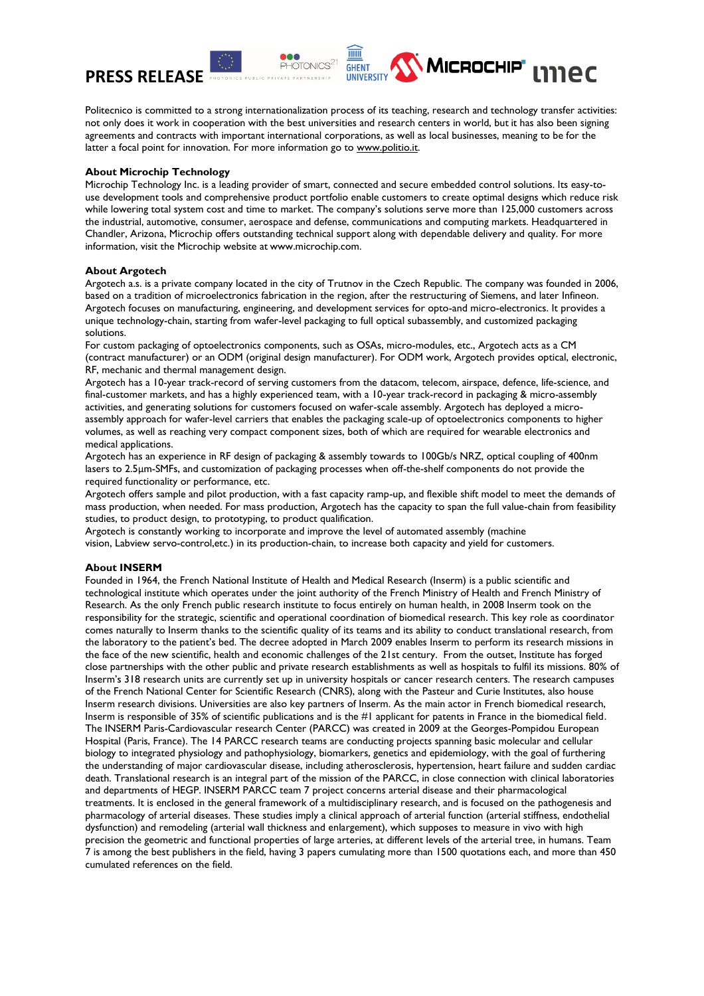

Politecnico is committed to a strong internationalization process of its teaching, research and technology transfer activities: not only does it work in cooperation with the best universities and research centers in world, but it has also been signing agreements and contracts with important international corporations, as well as local businesses, meaning to be for the latter a focal point for innovation. For more information go to www.politio.it.

## **About Microchip Technology**

Microchip Technology Inc. is a leading provider of smart, connected and secure embedded control solutions. Its easy-touse development tools and comprehensive product portfolio enable customers to create optimal designs which reduce risk while lowering total system cost and time to market. The company's solutions serve more than 125,000 customers across the industrial, automotive, consumer, aerospace and defense, communications and computing markets. Headquartered in Chandler, Arizona, Microchip offers outstanding technical support along with dependable delivery and quality. For more information, visit the Microchip website at www.microchip.com.

## **About Argotech**

Argotech a.s. is a private company located in the city of Trutnov in the Czech Republic. The company was founded in 2006, based on a tradition of microelectronics fabrication in the region, after the restructuring of Siemens, and later Infineon. Argotech focuses on manufacturing, engineering, and development services for opto-and micro-electronics. It provides a unique technology-chain, starting from wafer-level packaging to full optical subassembly, and customized packaging solutions.

For custom packaging of optoelectronics components, such as OSAs, micro-modules, etc., Argotech acts as a CM (contract manufacturer) or an ODM (original design manufacturer). For ODM work, Argotech provides optical, electronic, RF, mechanic and thermal management design.

Argotech has a 10-year track-record of serving customers from the datacom, telecom, airspace, defence, life-science, and final-customer markets, and has a highly experienced team, with a 10-year track-record in packaging & micro-assembly activities, and generating solutions for customers focused on wafer-scale assembly. Argotech has deployed a microassembly approach for wafer-level carriers that enables the packaging scale-up of optoelectronics components to higher volumes, as well as reaching very compact component sizes, both of which are required for wearable electronics and medical applications.

Argotech has an experience in RF design of packaging & assembly towards to 100Gb/s NRZ, optical coupling of 400nm lasers to 2.5μm-SMFs, and customization of packaging processes when off-the-shelf components do not provide the required functionality or performance, etc.

Argotech offers sample and pilot production, with a fast capacity ramp-up, and flexible shift model to meet the demands of mass production, when needed. For mass production, Argotech has the capacity to span the full value-chain from feasibility studies, to product design, to prototyping, to product qualification.

Argotech is constantly working to incorporate and improve the level of automated assembly (machine vision, Labview servo-control,etc.) in its production-chain, to increase both capacity and yield for customers.

## **About INSERM**

Founded in 1964, the French National Institute of Health and Medical Research (Inserm) is a public scientific and technological institute which operates under the joint authority of the French Ministry of Health and French Ministry of Research. As the only French public research institute to focus entirely on human health, in 2008 Inserm took on the responsibility for the strategic, scientific and operational coordination of biomedical research. This key role as coordinator comes naturally to Inserm thanks to the scientific quality of its teams and its ability to conduct translational research, from the laboratory to the patient's bed. The decree adopted in March 2009 enables Inserm to perform its research missions in the face of the new scientific, health and economic challenges of the 21st century. From the outset, Institute has forged close partnerships with the other public and private research establishments as well as hospitals to fulfil its missions. 80% of Inserm's 318 research units are currently set up in university hospitals or cancer research centers. The research campuses of the French National Center for Scientific Research (CNRS), along with the Pasteur and Curie Institutes, also house Inserm research divisions. Universities are also key partners of Inserm. As the main actor in French biomedical research, Inserm is responsible of 35% of scientific publications and is the #1 applicant for patents in France in the biomedical field. The INSERM Paris-Cardiovascular research Center (PARCC) was created in 2009 at the Georges-Pompidou European Hospital (Paris, France). The 14 PARCC research teams are conducting projects spanning basic molecular and cellular biology to integrated physiology and pathophysiology, biomarkers, genetics and epidemiology, with the goal of furthering the understanding of major cardiovascular disease, including atherosclerosis, hypertension, heart failure and sudden cardiac death. Translational research is an integral part of the mission of the PARCC, in close connection with clinical laboratories and departments of HEGP. INSERM PARCC team 7 project concerns arterial disease and their pharmacological treatments. It is enclosed in the general framework of a multidisciplinary research, and is focused on the pathogenesis and pharmacology of arterial diseases. These studies imply a clinical approach of arterial function (arterial stiffness, endothelial dysfunction) and remodeling (arterial wall thickness and enlargement), which supposes to measure in vivo with high precision the geometric and functional properties of large arteries, at different levels of the arterial tree, in humans. Team 7 is among the best publishers in the field, having 3 papers cumulating more than 1500 quotations each, and more than 450 cumulated references on the field.